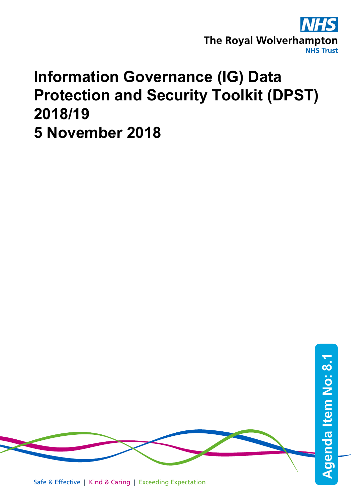

# **Information Governance (IG) Data Protection and Security Toolkit (DPST) 2018/19 5 November 2018**

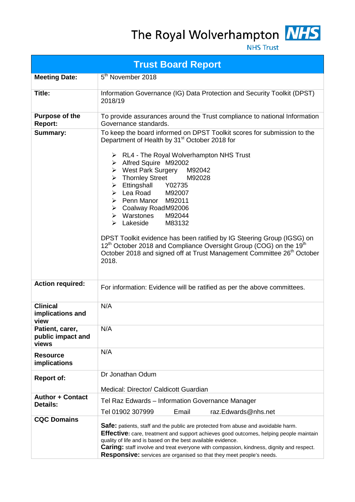The Royal Wolverhampton NHS



**NHS Trust** 

|                                               | <b>Trust Board Report</b>                                                                                                                                                                                                                                                                                                                                                                                                                                                                                                                                                                                                                                                                                                                                 |
|-----------------------------------------------|-----------------------------------------------------------------------------------------------------------------------------------------------------------------------------------------------------------------------------------------------------------------------------------------------------------------------------------------------------------------------------------------------------------------------------------------------------------------------------------------------------------------------------------------------------------------------------------------------------------------------------------------------------------------------------------------------------------------------------------------------------------|
| <b>Meeting Date:</b>                          | 5 <sup>th</sup> November 2018                                                                                                                                                                                                                                                                                                                                                                                                                                                                                                                                                                                                                                                                                                                             |
| Title:                                        | Information Governance (IG) Data Protection and Security Toolkit (DPST)<br>2018/19                                                                                                                                                                                                                                                                                                                                                                                                                                                                                                                                                                                                                                                                        |
| <b>Purpose of the</b><br><b>Report:</b>       | To provide assurances around the Trust compliance to national Information<br>Governance standards.                                                                                                                                                                                                                                                                                                                                                                                                                                                                                                                                                                                                                                                        |
| <b>Summary:</b>                               | To keep the board informed on DPST Toolkit scores for submission to the<br>Department of Health by 31 <sup>st</sup> October 2018 for<br>> RL4 - The Royal Wolverhampton NHS Trust<br>> Alfred Squire M92002<br>$\triangleright$ West Park Surgery<br>M92042<br>> Thornley Street<br>M92028<br>Ettingshall Y02735<br>$\triangleright$ Lea Road M92007<br>> Penn Manor M92011<br>> Coalway RoadM92006<br>$\triangleright$ Warstones<br>M92044<br>$\triangleright$ Lakeside<br>M83132<br>DPST Toolkit evidence has been ratified by IG Steering Group (IGSG) on<br>12 <sup>th</sup> October 2018 and Compliance Oversight Group (COG) on the 19 <sup>th</sup><br>October 2018 and signed off at Trust Management Committee 26 <sup>th</sup> October<br>2018. |
| <b>Action required:</b>                       | For information: Evidence will be ratified as per the above committees.                                                                                                                                                                                                                                                                                                                                                                                                                                                                                                                                                                                                                                                                                   |
| <b>Clinical</b><br>implications and<br>view   | N/A                                                                                                                                                                                                                                                                                                                                                                                                                                                                                                                                                                                                                                                                                                                                                       |
| Patient, carer,<br>public impact and<br>views | N/A                                                                                                                                                                                                                                                                                                                                                                                                                                                                                                                                                                                                                                                                                                                                                       |
| <b>Resource</b><br>implications               | N/A                                                                                                                                                                                                                                                                                                                                                                                                                                                                                                                                                                                                                                                                                                                                                       |
| <b>Report of:</b>                             | Dr Jonathan Odum<br>Medical: Director/ Caldicott Guardian                                                                                                                                                                                                                                                                                                                                                                                                                                                                                                                                                                                                                                                                                                 |
| <b>Author + Contact</b><br><b>Details:</b>    | Tel Raz Edwards - Information Governance Manager<br>Tel 01902 307999<br>Email<br>raz.Edwards@nhs.net                                                                                                                                                                                                                                                                                                                                                                                                                                                                                                                                                                                                                                                      |
| <b>CQC Domains</b>                            | Safe: patients, staff and the public are protected from abuse and avoidable harm.<br><b>Effective:</b> care, treatment and support achieves good outcomes, helping people maintain<br>quality of life and is based on the best available evidence.<br>Caring: staff involve and treat everyone with compassion, kindness, dignity and respect.<br>Responsive: services are organised so that they meet people's needs.                                                                                                                                                                                                                                                                                                                                    |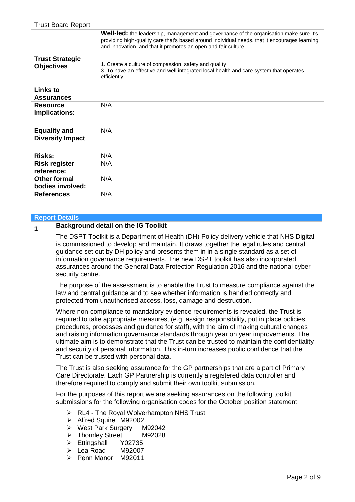| <b>Trust Board Report</b>                      |                                                                                                                                                                                                                                                                  |
|------------------------------------------------|------------------------------------------------------------------------------------------------------------------------------------------------------------------------------------------------------------------------------------------------------------------|
|                                                | <b>Well-led:</b> the leadership, management and governance of the organisation make sure it's<br>providing high-quality care that's based around individual needs, that it encourages learning<br>and innovation, and that it promotes an open and fair culture. |
| <b>Trust Strategic</b><br><b>Objectives</b>    | 1. Create a culture of compassion, safety and quality<br>3. To have an effective and well integrated local health and care system that operates<br>efficiently                                                                                                   |
| <b>Links to</b><br><b>Assurances</b>           |                                                                                                                                                                                                                                                                  |
| <b>Resource</b><br><b>Implications:</b>        | N/A                                                                                                                                                                                                                                                              |
| <b>Equality and</b><br><b>Diversity Impact</b> | N/A                                                                                                                                                                                                                                                              |
| <b>Risks:</b>                                  | N/A                                                                                                                                                                                                                                                              |
| <b>Risk register</b><br>reference:             | N/A                                                                                                                                                                                                                                                              |
| <b>Other formal</b><br>bodies involved:        | N/A                                                                                                                                                                                                                                                              |
| <b>References</b>                              | N/A                                                                                                                                                                                                                                                              |

#### **Report Details**

**<sup>1</sup> Background detail on the IG Toolkit** The DSPT Toolkit is a Department of Health (DH) Policy delivery vehicle that NHS Digital is commissioned to develop and maintain. It draws together the legal rules and central guidance set out by DH policy and presents them in in a single standard as a set of information governance requirements. The new DSPT toolkit has also incorporated assurances around the General Data Protection Regulation 2016 and the national cyber security centre. The purpose of the assessment is to enable the Trust to measure compliance against the law and central guidance and to see whether information is handled correctly and protected from unauthorised access, loss, damage and destruction. Where non-compliance to mandatory evidence requirements is revealed, the Trust is required to take appropriate measures, (e.g. assign responsibility, put in place policies, procedures, processes and guidance for staff), with the aim of making cultural changes and raising information governance standards through year on year improvements. The ultimate aim is to demonstrate that the Trust can be trusted to maintain the confidentiality and security of personal information. This in-turn increases public confidence that the Trust can be trusted with personal data. The Trust is also seeking assurance for the GP partnerships that are a part of Primary Care Directorate. Each GP Partnership is currently a registered data controller and therefore required to comply and submit their own toolkit submission. For the purposes of this report we are seeking assurances on the following toolkit submissions for the following organisation codes for the October position statement:  $\triangleright$  RL4 - The Royal Wolverhampton NHS Trust Alfred Squire M92002<br>► West Park Surgery M92042 → West Park Surgery M92042 → Thornley Street M<br>→ Ettingshall Y02735  $\triangleright$  Ettingshall  $\geq$  Lea Road M92007  $\triangleright$  Penn Manor M92011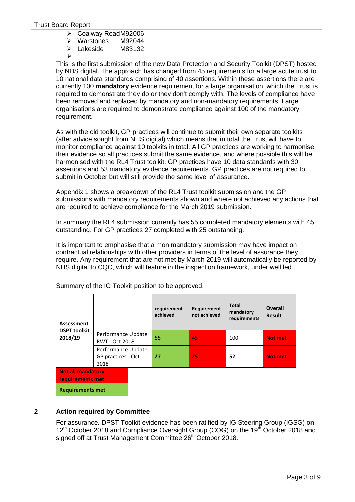|  | $\triangleright$ Coalway RoadM92006 |
|--|-------------------------------------|
|--|-------------------------------------|

Warstones M92044

- Lakeside M83132
- $\triangleright$

This is the first submission of the new Data Protection and Security Toolkit (DPST) hosted by NHS digital. The approach has changed from 45 requirements for a large acute trust to 10 national data standards comprising of 40 assertions. Within these assertions there are currently 100 **mandatory** evidence requirement for a large organisation, which the Trust is required to demonstrate they do or they don't comply with. The levels of compliance have been removed and replaced by mandatory and non-mandatory requirements. Large organisations are required to demonstrate compliance against 100 of the mandatory requirement.

As with the old toolkit, GP practices will continue to submit their own separate toolkits (after advice sought from NHS digital) which means that in total the Trust will have to monitor compliance against 10 toolkits in total. All GP practices are working to harmonise their evidence so all practices submit the same evidence, and where possible this will be harmonised with the RL4 Trust toolkit. GP practices have 10 data standards with 30 assertions and 53 mandatory evidence requirements. GP practices are not required to submit in October but will still provide the same level of assurance.

Appendix 1 shows a breakdown of the RL4 Trust toolkit submission and the GP submissions with mandatory requirements shown and where not achieved any actions that are required to achieve compliance for the March 2019 submission.

In summary the RL4 submission currently has 55 completed mandatory elements with 45 outstanding. For GP practices 27 completed with 25 outstanding.

It is important to emphasise that a mon mandatory submission may have impact on contractual relationships with other providers in terms of the level of assurance they require. Any requirement that are not met by March 2019 will automatically be reported by NHS digital to CQC, which will feature in the inspection framework, under well led.

|                                                  |                                                                         | requirement<br>achieved                     | Requirement<br>not achieved | <b>Total</b><br>mandatory<br>requirements | <b>Overall</b><br><b>Result</b> |
|--------------------------------------------------|-------------------------------------------------------------------------|---------------------------------------------|-----------------------------|-------------------------------------------|---------------------------------|
|                                                  |                                                                         | 55                                          | 45                          | 100                                       | <b>Not met</b>                  |
| Performance Update<br>GP practices - Oct<br>2018 |                                                                         | 27                                          | 25                          | 52                                        | <b>Not met</b>                  |
|                                                  |                                                                         |                                             |                             |                                           |                                 |
|                                                  | <b>Not all mandatory</b><br>requirements met<br><b>Requirements met</b> | Performance Update<br><b>RWT - Oct 2018</b> |                             |                                           |                                 |

Summary of the IG Toolkit position to be approved.

#### **2 Action required by Committee**

For assurance. DPST Toolkit evidence has been ratified by IG Steering Group (IGSG) on 12<sup>th</sup> October 2018 and Compliance Oversight Group (COG) on the 19<sup>th</sup> October 2018 and signed off at Trust Management Committee 26<sup>th</sup> October 2018.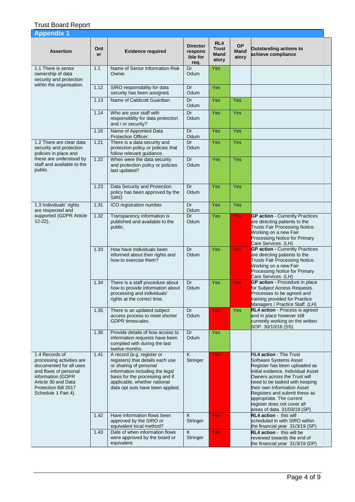| <b>Appendix 1</b>                                                                                                                                                                          |                  |                                                                                                                                                                                                                                    |                                                |                                      |                            |                                                                                                                                                                                                                                                                                                                                                                    |
|--------------------------------------------------------------------------------------------------------------------------------------------------------------------------------------------|------------------|------------------------------------------------------------------------------------------------------------------------------------------------------------------------------------------------------------------------------------|------------------------------------------------|--------------------------------------|----------------------------|--------------------------------------------------------------------------------------------------------------------------------------------------------------------------------------------------------------------------------------------------------------------------------------------------------------------------------------------------------------------|
| <b>Assertion</b>                                                                                                                                                                           | <b>Ord</b><br>er | <b>Evidence required</b>                                                                                                                                                                                                           | <b>Director</b><br>respons<br>ible for<br>req. | RL4<br><b>Trust</b><br>Mand<br>atory | <b>GP</b><br>Mand<br>atory | <b>Outstanding actions to</b><br>achieve compliance                                                                                                                                                                                                                                                                                                                |
| 1.1 There is senior<br>ownership of data<br>security and protection                                                                                                                        | 1.1              | Name of Senior Information Risk<br>Owner.                                                                                                                                                                                          | Dr<br>Odum                                     | Yes                                  |                            |                                                                                                                                                                                                                                                                                                                                                                    |
| within the organisation.                                                                                                                                                                   | 1.12             | SIRO responsibility for data<br>security has been assigned.                                                                                                                                                                        | Dr<br>Odum                                     | Yes                                  |                            |                                                                                                                                                                                                                                                                                                                                                                    |
|                                                                                                                                                                                            | 1.13             | Name of Caldicott Guardian.                                                                                                                                                                                                        | Dr<br>Odum                                     | Yes                                  | Yes                        |                                                                                                                                                                                                                                                                                                                                                                    |
|                                                                                                                                                                                            | 1.14             | Who are your staff with<br>responsibility for data protection<br>and / or security?                                                                                                                                                | Dr<br>Odum                                     | Yes                                  | Yes                        |                                                                                                                                                                                                                                                                                                                                                                    |
|                                                                                                                                                                                            | 1.16             | Name of Appointed Data<br>Protection Officer.                                                                                                                                                                                      | Dr<br>Odum                                     | Yes                                  | Yes                        |                                                                                                                                                                                                                                                                                                                                                                    |
| 1.2 There are clear data<br>security and protection<br>policies in place and                                                                                                               | 1.21             | There is a data security and<br>protection policy or policies that<br>follow relevant guidance.                                                                                                                                    | Dr<br>Odum                                     | Yes                                  | Yes                        |                                                                                                                                                                                                                                                                                                                                                                    |
| these are understood by<br>staff and available to the<br>public.                                                                                                                           | 1.22             | When were the data security<br>and protection policy or policies<br>last updated?                                                                                                                                                  | Dr<br>Odum                                     | Yes                                  | Yes                        |                                                                                                                                                                                                                                                                                                                                                                    |
|                                                                                                                                                                                            | 1.23             | Data Security and Protection<br>policy has been approved by the<br><b>SIRO</b>                                                                                                                                                     | Dr<br>Odum                                     | Yes                                  | Yes                        |                                                                                                                                                                                                                                                                                                                                                                    |
| 1.3 Individuals' rights<br>are respected and                                                                                                                                               | 1.31             | ICO registration number.                                                                                                                                                                                                           | Dr<br>Odum                                     | Yes                                  | Yes                        |                                                                                                                                                                                                                                                                                                                                                                    |
| supported (GDPR Article<br>$12 - 22$ ).                                                                                                                                                    | 1.32             | Transparency information is<br>published and available to the<br>public.                                                                                                                                                           | Dr<br>Odum                                     | Yes                                  | <b>Yes</b>                 | <b>GP action - Currently Practices</b><br>are directing patients to the<br>Trusts Fair Processing Notice.<br>Working on a new Fair<br>Processing Notice for Primary<br>Care Services. (LH)                                                                                                                                                                         |
|                                                                                                                                                                                            | 1.33             | How have Individuals been<br>informed about their rights and<br>how to exercise them?                                                                                                                                              | Dr<br>Odum                                     | Yes                                  | Yes                        | <b>GP action - Currently Practices</b><br>are directing patients to the<br>Trusts Fair Processing Notice.<br>Working on a new Fair<br>Processing Notice for Primary<br>Care Services. (LH)                                                                                                                                                                         |
|                                                                                                                                                                                            | 1.34             | There is a staff procedure about<br>how to provide information about<br>processing and individuals'<br>rights at the correct time.                                                                                                 | Dr<br>Odum                                     | Yes                                  | <b>Yes</b>                 | GP action - Procedure in place<br>for Subject Access Requests.<br>Processes to be agreed and<br>training provided for Practice<br>Managers / Practice Staff. (LH)                                                                                                                                                                                                  |
|                                                                                                                                                                                            | 1.35             | There is an updated subject<br>access process to meet shorter<br>GDPR timescales.                                                                                                                                                  | Dr<br>Odum                                     | Yes                                  | <b>Yes</b>                 | RL4 action - Process is agreed<br>and in place however still<br>currently working on the written<br>SOP. 30/10/18 (SS)                                                                                                                                                                                                                                             |
|                                                                                                                                                                                            | 1.36             | Provide details of how access to<br>information requests have been<br>complied with during the last<br>twelve months.                                                                                                              | Dr<br>Odum                                     | Yes                                  |                            |                                                                                                                                                                                                                                                                                                                                                                    |
| 1.4 Records of<br>processing activities are<br>documented for all uses<br>and flows of personal<br>information (GDPR<br>Article 30 and Data<br>Protection Bill 2017<br>Schedule 1 Part 4). | 1.41             | A record (e.g. register or<br>registers) that details each use<br>or sharing of personal<br>information including the legal<br>basis for the processing and if<br>applicable, whether national<br>data opt outs have been applied. | K<br>Stringer                                  | <b>Yes</b>                           |                            | <b>RL4 action - The Trust</b><br><b>Software Systems Asset</b><br>Register has been uploaded as<br>initial evidence. Individual Asset<br>Owners across the Trust will<br>need to be tasked with keeping<br>their own Information Asset<br>Registers and submit these as<br>appropriate. The current<br>register does not cover all<br>areas of data. 31/03/19 (SP) |
|                                                                                                                                                                                            | 1.42             | Have information flows been<br>approved by the SIRO or<br>equivalent local method?                                                                                                                                                 | K<br>Stringer                                  | <b>Yes</b>                           |                            | RL4 action - this will<br>scheduled in with SIRO within<br>the financial year 31/3/19 (SP)                                                                                                                                                                                                                                                                         |
|                                                                                                                                                                                            | 1.43             | Date of when information flows<br>were approved by the board or<br>equivalent.                                                                                                                                                     | K<br>Stringer                                  | <b>Yes</b>                           |                            | RL4 action - this will be<br>reviewed towards the end of<br>the financial year 31/3/19 (DP)                                                                                                                                                                                                                                                                        |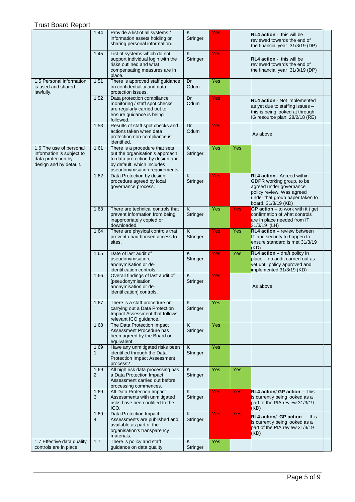|                                                                                                      | 1.44                   | Provide a list of all systems /<br>information assets holding or<br>sharing personal information.                                                                     | $\overline{\mathsf{K}}$<br>Stringer | <b>Yes</b> |     | <b>RL4 action</b> - this will be<br>reviewed towards the end of<br>the financial year 31/3/19 (DP)                                                                        |
|------------------------------------------------------------------------------------------------------|------------------------|-----------------------------------------------------------------------------------------------------------------------------------------------------------------------|-------------------------------------|------------|-----|---------------------------------------------------------------------------------------------------------------------------------------------------------------------------|
|                                                                                                      | 1.45                   | List of systems which do not<br>support individual login with the<br>risks outlined and what<br>compensating measures are in<br>place.                                | $\overline{\mathsf{K}}$<br>Stringer | <b>Yes</b> |     | <b>RL4 action</b> this will be<br>reviewed towards the end of<br>the financial year 31/3/19 (DP)                                                                          |
| 1.5 Personal information<br>is used and shared<br>lawfully.                                          | 1.51                   | There is approved staff guidance<br>on confidentiality and data<br>protection issues.                                                                                 | Dr<br>Odum                          | Yes        |     |                                                                                                                                                                           |
|                                                                                                      | 1.52                   | Data protection compliance<br>monitoring / staff spot checks<br>are regularly carried out to<br>ensure guidance is being<br>followed.                                 | Dr<br>Odum                          | Yes        |     | <b>RL4 action</b> - Not implemented<br>as yet due to staffing issues -<br>this is being looked at through<br>IG resource plan. 28/2/18 (RE)                               |
|                                                                                                      | 1.53                   | Results of staff spot checks and<br>actions taken when data<br>protection non-compliance is<br>identified.                                                            | Dr<br>Odum                          | Yes        |     | As above                                                                                                                                                                  |
| 1.6 The use of personal<br>information is subject to<br>data protection by<br>design and by default. | 1.61                   | There is a procedure that sets<br>out the organisation's approach<br>to data protection by design and<br>by default, which includes<br>pseudonymisation requirements. | $\overline{\mathsf{K}}$<br>Stringer | Yes        | Yes |                                                                                                                                                                           |
|                                                                                                      | 1.62                   | Data Protection by design<br>procedure agreed by local<br>governance process.                                                                                         | $\overline{\mathsf{K}}$<br>Stringer | Yes        |     | RL4 action - Agreed within<br>GDPR working group, to be<br>agreed under governance<br>policy review. Was agreed<br>under that group paper taken to<br>board. 31/3/19 (KD) |
|                                                                                                      | 1.63                   | There are technical controls that<br>prevent information from being<br>inappropriately copied or<br>downloaded.                                                       | K<br>Stringer                       | Yes        | Yes | GP action $-$ to work with it t get<br>confirmation of what controls<br>are in place needed from IT.<br>31/3/19 (LH)                                                      |
|                                                                                                      | 1.64                   | There are physical controls that<br>prevent unauthorised access to<br>sites.                                                                                          | K<br>Stringer                       | <b>Yes</b> | Yes | RL4 action - review between<br>IT and security to happen to<br>ensure standard is met 31/3/19<br>(KD)                                                                     |
|                                                                                                      | 1.65                   | Date of last audit of<br>pseudonymisation,<br>anonymisation or de-<br>identification controls.                                                                        | $\overline{\mathsf{K}}$<br>Stringer | Yes        | Yes | RL4 action - draft policy in<br>place - no audit carried out as<br>yet until policy approved and<br>implemented 31/3/19 (KD)                                              |
|                                                                                                      | 1.66                   | Overall findings of last audit of<br>[pseudonymisation,<br>anonymisation or de-<br>identification] controls.                                                          | $\overline{\mathsf{K}}$<br>Stringer | <b>Yes</b> |     | As above                                                                                                                                                                  |
|                                                                                                      | 1.67                   | There is a staff procedure on<br>carrying out a Data Protection<br>Impact Assessment that follows<br>relevant ICO guidance.                                           | $\overline{\mathsf{K}}$<br>Stringer | Yes        |     |                                                                                                                                                                           |
|                                                                                                      | 1.68                   | The Data Protection Impact<br>Assessment Procedure has<br>been agreed by the Board or<br>equivalent.                                                                  | $\overline{\mathsf{K}}$<br>Stringer | Yes        |     |                                                                                                                                                                           |
|                                                                                                      | 1.69<br>$\mathbf{1}$   | Have any unmitigated risks been<br>identified through the Data<br><b>Protection Impact Assessment</b><br>process?                                                     | $\overline{\mathsf{K}}$<br>Stringer | Yes        |     |                                                                                                                                                                           |
|                                                                                                      | 1.69<br>$\overline{2}$ | All high risk data processing has<br>a Data Protection Impact<br>Assessment carried out before<br>processing commences.                                               | $\overline{\mathsf{K}}$<br>Stringer | Yes        | Yes |                                                                                                                                                                           |
|                                                                                                      | 1.69<br>3              | All Data Protection Impact<br>Assessments with unmitigated<br>risks have been notified to the<br>ICO.                                                                 | Κ<br>Stringer                       | <b>Yes</b> | Yes | <b>RL4 action/ GP action - this</b><br>is currently being looked as a<br>part of the PIA review 31/3/19<br>(KD)                                                           |
|                                                                                                      | 1.69<br>$\overline{4}$ | Data Protection Impact<br>Assessments are published and<br>available as part of the<br>organisation's transparency<br>materials.                                      | K<br>Stringer                       | Yes        | Yes | $RL4$ action/ GP action $-$ this<br>is currently being looked as a<br>part of the PIA review 31/3/19<br>(KD)                                                              |
| 1.7 Effective data quality<br>controls are in place                                                  | 1.7                    | There is policy and staff<br>guidance on data quality.                                                                                                                | Κ<br>Stringer                       | Yes        |     |                                                                                                                                                                           |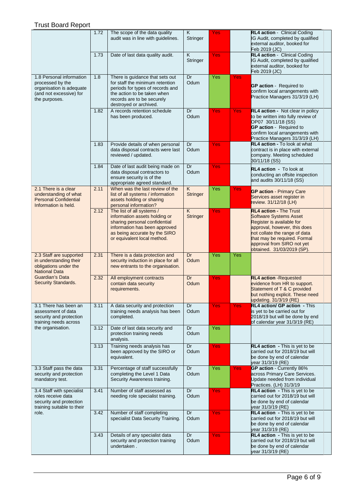|                                                                                                                      | 1.72 | The scope of the data quality<br>audit was in line with guidelines.                                                                                                                           | $\overline{\mathsf{K}}$<br>Stringer | Yes        |            | RL4 action - Clinical Coding<br>IG Audit, completed by qualified<br>external auditor, booked for<br>Feb 2019 (JC)                                                                                                                                        |
|----------------------------------------------------------------------------------------------------------------------|------|-----------------------------------------------------------------------------------------------------------------------------------------------------------------------------------------------|-------------------------------------|------------|------------|----------------------------------------------------------------------------------------------------------------------------------------------------------------------------------------------------------------------------------------------------------|
|                                                                                                                      | 1.73 | Date of last data quality audit.                                                                                                                                                              | K<br>Stringer                       | Yes        |            | RL4 action - Clinical Coding<br>IG Audit, completed by qualified<br>external auditor, booked for<br>Feb 2019 (JC)                                                                                                                                        |
| 1.8 Personal information<br>processed by the<br>organisation is adequate<br>(and not excessive) for<br>the purposes. | 1.8  | There is guidance that sets out<br>for staff the minimum retention<br>periods for types of records and<br>the action to be taken when<br>records are to be securely<br>destroyed or archived. | Dr<br>Odum                          | Yes        | Yes        | <b>GP action</b> - Required to<br>confirm local arrangements with<br>Practice Managers 31/3/19 (LH)                                                                                                                                                      |
|                                                                                                                      | 1.82 | A records retention schedule<br>has been produced.                                                                                                                                            | Dr<br>Odum                          | Yes        | Yes        | RL4 action - Not clear in policy<br>to be written into fully review of<br>OP07 30/11/18 (SS)<br><b>GP action</b> - Required to<br>confirm local arrangements with<br>Practice Managers 31/3/19 (LH)                                                      |
|                                                                                                                      | 1.83 | Provide details of when personal<br>data disposal contracts were last<br>reviewed / updated.                                                                                                  | Dr<br>Odum                          | <b>Yes</b> |            | <b>RL4 action - To look at what</b><br>contract is in place with external<br>company. Meeting scheduled<br>30/11/18 (SS)                                                                                                                                 |
|                                                                                                                      | 1.84 | Date of last audit being made on<br>data disposal contractors to<br>ensure security is of the<br>appropriate agreed standard.                                                                 | Dr<br>Odum                          | <b>Yes</b> |            | RL4 action - To look at<br>conducting an offsite inspection<br>and audits 30/11/18 (SS)                                                                                                                                                                  |
| 2.1 There is a clear<br>understanding of what<br><b>Personal Confidential</b><br>Information is held.                | 2.11 | When was the last review of the<br>list of all systems / information<br>assets holding or sharing<br>personal information?                                                                    | $\overline{K}$<br><b>Stringer</b>   | Yes        | Yes        | <b>GP action - Primary Care</b><br>Services asset register in<br>review. 31/12/18 (LH)                                                                                                                                                                   |
|                                                                                                                      | 2.12 | The list of all systems /<br>information assets holding or<br>sharing personal confidential<br>information has been approved<br>as being accurate by the SIRO<br>or equivalent local method.  | $\overline{K}$<br>Stringer          | Yes        |            | <b>RL4 action - The Trust</b><br><b>Software Systems Asset</b><br>Register is available for<br>approval, however, this does<br>not collate the range of data<br>that may be required. Formal<br>approval from SIRO not yet<br>obtained. 31/03/2019 (SP). |
| 2.3 Staff are supported<br>in understanding their<br>obligations under the<br><b>National Data</b>                   | 2.31 | There is a data protection and<br>security induction in place for all<br>new entrants to the organisation.                                                                                    | Dr<br>Odum                          | Yes        | Yes        |                                                                                                                                                                                                                                                          |
| Guardian's Data<br>Security Standards.                                                                               | 2.32 | All employment contracts<br>contain data security<br>requirements.                                                                                                                            | Dr<br>Odum                          | Yes.       |            | <b>RL4 action - Requested</b><br>evidence from HR to support.<br>Statement of T & C provided<br>but nothing explicit. These need<br>updating. 31/3/19 (RE)                                                                                               |
| 3.1 There has been an<br>assessment of data<br>security and protection<br>training needs across                      | 3.11 | A data security and protection<br>training needs analysis has been<br>completed.                                                                                                              | Dr<br>Odum                          | <b>Yes</b> | <b>Yes</b> | <b>RL4 action/ GP action - This</b><br>is yet to be carried out for<br>2018/19 but will be done by end<br>of calendar year 31/3/19 (RE)                                                                                                                  |
| the organisation.                                                                                                    | 3.12 | Date of last data security and<br>protection training needs<br>analysis.                                                                                                                      | Dr<br>Odum                          | Yes        |            |                                                                                                                                                                                                                                                          |
|                                                                                                                      | 3.13 | Training needs analysis has<br>been approved by the SIRO or<br>equivalent.                                                                                                                    | Dr<br>Odum                          | <b>Yes</b> |            | RL4 action - This is yet to be<br>carried out for 2018/19 but will<br>be done by end of calendar<br>year 31/3/19 (RE)                                                                                                                                    |
| 3.3 Staff pass the data<br>security and protection<br>mandatory test.                                                | 3.31 | Percentage of staff successfully<br>completing the Level 1 Data<br>Security Awareness training.                                                                                               | Dr<br>Odum                          | Yes        | <b>Yes</b> | GP action - Currently 86%<br>across Primary Care Services.<br>Update needed from individual<br>Practices. (LH) 31/3/19                                                                                                                                   |
| 3.4 Staff with specialist<br>roles receive data<br>security and protection<br>training suitable to their             | 3.41 | Number of staff assessed as<br>needing role specialist training.                                                                                                                              | Dr<br>Odum                          | <b>Yes</b> |            | <b>RL4 action</b> - This is yet to be<br>carried out for 2018/19 but will<br>be done by end of calendar<br>year 31/3/19 (RE)                                                                                                                             |
| role.                                                                                                                | 3.42 | Number of staff completing<br>specialist Data Security Training.                                                                                                                              | Dr<br>Odum                          | <b>Yes</b> |            | RL4 action - This is yet to be<br>carried out for 2018/19 but will<br>be done by end of calendar<br>year 31/3/19 (RE)                                                                                                                                    |
|                                                                                                                      | 3.43 | Details of any specialist data<br>security and protection training<br>undertaken.                                                                                                             | Dr<br>Odum                          | Yes        |            | RL4 action - This is yet to be<br>carried out for 2018/19 but will<br>be done by end of calendar<br>year 31/3/19 (RE)                                                                                                                                    |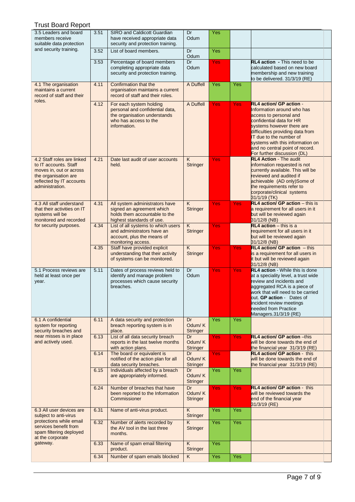| 3.5 Leaders and board<br>members receive<br>suitable data protection                                                                                  | 3.51 | SIRO and Caldicott Guardian<br>have received appropriate data<br>security and protection training.                                  | Dr<br>Odum                                 | Yes        |            |                                                                                                                                                                                                                                                                                                               |
|-------------------------------------------------------------------------------------------------------------------------------------------------------|------|-------------------------------------------------------------------------------------------------------------------------------------|--------------------------------------------|------------|------------|---------------------------------------------------------------------------------------------------------------------------------------------------------------------------------------------------------------------------------------------------------------------------------------------------------------|
| and security training.                                                                                                                                | 3.52 | List of board members.                                                                                                              | Dr<br>Odum                                 | Yes        |            |                                                                                                                                                                                                                                                                                                               |
|                                                                                                                                                       | 3.53 | Percentage of board members<br>completing appropriate data<br>security and protection training.                                     | Dr<br>Odum                                 | Yes        |            | RL4 action - This need to be<br>calculated based on new board<br>membership and new training<br>to be delivered. 31/3/19 (RE)                                                                                                                                                                                 |
| 4.1 The organisation<br>maintains a current<br>record of staff and their                                                                              | 4.11 | Confirmation that the<br>organisation maintains a current<br>record of staff and their roles.                                       | A Duffell                                  | Yes        | Yes        |                                                                                                                                                                                                                                                                                                               |
| roles.                                                                                                                                                | 4.12 | For each system holding<br>personal and confidential data,<br>the organisation understands<br>who has access to the<br>information. | A Duffell                                  | Yes        | <b>Yes</b> | RL4 action/ GP action -<br>Information around who has<br>access to personal and<br>confidential data for HR<br>systems however there are<br>difficulties providing data from<br>IT due to the number of<br>systems with this information on<br>and no central point of record.<br>For further discussion (DL) |
| 4.2 Staff roles are linked<br>to IT accounts. Staff<br>moves in, out or across<br>the organisation are<br>reflected by IT accounts<br>administration. | 4.21 | Date last audit of user accounts<br>held.                                                                                           | K.<br><b>Stringer</b>                      | Yes        |            | <b>RL4 Action - The audit</b><br>information requested is not<br>currently available. This will be<br>reviewed and audited if<br>achievable (AD only)Some of<br>the requirements refer to<br>corporate/clinical systems<br>31/1/19 (TK)                                                                       |
| 4.3 All staff understand<br>that their activities on IT<br>systems will be<br>monitored and recorded                                                  | 4.31 | All system administrators have<br>signed an agreement which<br>holds them accountable to the<br>highest standards of use.           | K<br><b>Stringer</b>                       | Yes        | <b>Yes</b> | RL4 action/ GP action - this is<br>a requirement for all users in it<br>but will be reviewed again<br>31/12/8 (NB)                                                                                                                                                                                            |
| for security purposes.                                                                                                                                | 4.34 | List of all systems to which users<br>and administrators have an<br>account, plus the means of<br>monitoring access.                | K.<br><b>Stringer</b>                      | Yes        |            | $RL4$ action $-$ this is a<br>requirement for all users in it<br>but will be reviewed again<br>31/12/8 (NB)                                                                                                                                                                                                   |
|                                                                                                                                                       | 4.35 | Staff have provided explicit<br>understanding that their activity<br>of systems can be monitored.                                   | $\overline{\mathsf{K}}$<br><b>Stringer</b> | Yes        | Yes        | $RL4$ action/ GP action $-$ this<br>is a requirement for all users in<br>It but will be reviewed again<br>31/12/8 (NB)                                                                                                                                                                                        |
| 5.1 Process reviews are<br>held at least once per<br>year.                                                                                            | 5.11 | Dates of process reviews held to<br>identify and manage problem<br>processes which cause security<br>breaches.                      | Dr<br>Odum                                 | Yes        | <b>Yes</b> | <b>RL4 action</b> - While this is done<br>at a speciality level, a trust wide<br>review and incidents and<br>aggregated RCA is a piece of<br>work that will need to be carried<br>out. GP action - Dates of<br>incident review meetings<br>needed from Practice<br>Managers.31/3/19 (RE)                      |
| 6.1 A confidential<br>system for reporting<br>security breaches and                                                                                   | 6.11 | A data security and protection<br>breach reporting system is in<br>place.                                                           | Dr<br>Odum/K<br><b>Stringer</b>            | Yes        | Yes        |                                                                                                                                                                                                                                                                                                               |
| near misses is in place<br>and actively used.                                                                                                         | 6.13 | List of all data security breach<br>reports in the last twelve months<br>with action plans.                                         | Dr<br>Odum/K<br><b>Stringer</b>            | <b>Yes</b> | Yes.       | <b>RL4 action/ GP action -this</b><br>will be done towards the end of<br>the financial year 31/3/19 (RE)                                                                                                                                                                                                      |
|                                                                                                                                                       | 6.14 | The board or equivalent is<br>notified of the action plan for all<br>data security breaches.                                        | Dr<br>Odum/K<br><b>Stringer</b>            | <b>Yes</b> |            | <b>RL4 action/ GP action - this</b><br>will be done towards the end of<br>the financial year 31/3/19 (RE)                                                                                                                                                                                                     |
|                                                                                                                                                       | 6.15 | Individuals affected by a breach<br>are appropriately informed.                                                                     | Dr<br>Odum/K<br>Stringer                   | <b>Yes</b> | Yes        |                                                                                                                                                                                                                                                                                                               |
|                                                                                                                                                       | 6.24 | Number of breaches that have<br>been reported to the Information<br>Commissioner                                                    | Dr<br>Odum/K<br><b>Stringer</b>            | <b>Yes</b> | Yes:       | RL4 action/ GP action - this<br>will be reviewed towards the<br>end of the financial year<br>31/3/19 (RE)                                                                                                                                                                                                     |
| 6.3 All user devices are<br>subject to anti-virus<br>protections while email                                                                          | 6.31 | Name of anti-virus product.                                                                                                         | K<br><b>Stringer</b>                       | Yes        | <b>Yes</b> |                                                                                                                                                                                                                                                                                                               |
| services benefit from<br>spam filtering deployed<br>at the corporate                                                                                  | 6.32 | Number of alerts recorded by<br>the AV tool in the last three<br>months.                                                            | K.<br><b>Stringer</b>                      | Yes        | Yes        |                                                                                                                                                                                                                                                                                                               |
| gateway.                                                                                                                                              | 6.33 | Name of spam email filtering<br>product.                                                                                            | K<br><b>Stringer</b>                       | Yes        |            |                                                                                                                                                                                                                                                                                                               |
|                                                                                                                                                       | 6.34 | Number of spam emails blocked                                                                                                       | K                                          | Yes        | Yes        |                                                                                                                                                                                                                                                                                                               |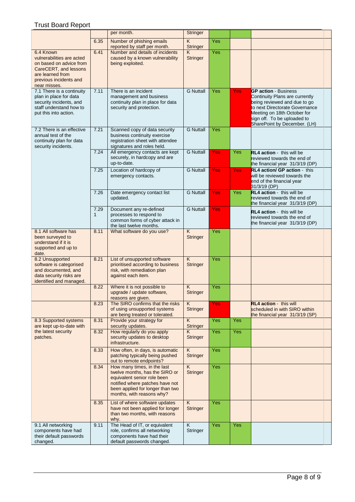|                                                                                                                                                          |                      | per month.                                                                                                                                                                                       | Stringer                                   |            |     |                                                                                                                                                                                                                               |
|----------------------------------------------------------------------------------------------------------------------------------------------------------|----------------------|--------------------------------------------------------------------------------------------------------------------------------------------------------------------------------------------------|--------------------------------------------|------------|-----|-------------------------------------------------------------------------------------------------------------------------------------------------------------------------------------------------------------------------------|
|                                                                                                                                                          | 6.35                 | Number of phishing emails<br>reported by staff per month.                                                                                                                                        | $\overline{\mathsf{K}}$<br><b>Stringer</b> | Yes        |     |                                                                                                                                                                                                                               |
| 6.4 Known<br>vulnerabilities are acted<br>on based on advice from<br>CareCERT, and lessons<br>are learned from<br>previous incidents and<br>near misses. | 6.41                 | Number and details of incidents<br>caused by a known vulnerability<br>being exploited.                                                                                                           | K<br><b>Stringer</b>                       | Yes        |     |                                                                                                                                                                                                                               |
| 7.1 There is a continuity<br>plan in place for data<br>security incidents, and<br>staff understand how to<br>put this into action.                       | 7.11                 | There is an incident<br>management and business<br>continuity plan in place for data<br>security and protection.                                                                                 | <b>G</b> Nuttall                           | Yes        | Yes | <b>GP action - Business</b><br>Continuity Plans are currently<br>being reviewed and due to go<br>to next Directorate Governance<br>Meeting on 18th October for<br>sign off. To be uploaded to<br>SharePoint by December. (LH) |
| 7.2 There is an effective<br>annual test of the<br>continuity plan for data<br>security incidents.                                                       | 7.21                 | Scanned copy of data security<br>business continuity exercise<br>registration sheet with attendee<br>signatures and roles held.                                                                  | <b>G</b> Nuttall                           | Yes        |     |                                                                                                                                                                                                                               |
|                                                                                                                                                          | 7.24                 | All emergency contacts are kept<br>securely, in hardcopy and are<br>up-to-date.                                                                                                                  | <b>G</b> Nuttall                           | Yes        | Yes | <b>RL4 action</b> - this will be<br>reviewed towards the end of<br>the financial year 31/3/19 (DP)                                                                                                                            |
|                                                                                                                                                          | 7.25                 | Location of hardcopy of<br>emergency contacts.                                                                                                                                                   | <b>G</b> Nuttall                           | <b>Yes</b> | Yes | <b>RL4 action/ GP action - this</b><br>will be reviewed towards the<br>end of the financial year<br>31/3/19 (DP)                                                                                                              |
|                                                                                                                                                          | 7.26                 | Date emergency contact list<br>updated.                                                                                                                                                          | <b>G Nuttall</b>                           | Yes        | Yes | <b>RL4 action - this will be</b><br>reviewed towards the end of<br>the financial year 31/3/19 (DP)                                                                                                                            |
|                                                                                                                                                          | 7.29<br>$\mathbf{1}$ | Document any re-defined<br>processes to respond to<br>common forms of cyber attack in<br>the last twelve months.                                                                                 | <b>G</b> Nuttall                           | Yes        |     | <b>RL4 action</b> this will be<br>reviewed towards the end of<br>the financial year 31/3/19 (DP)                                                                                                                              |
| 8.1 All software has<br>been surveyed to<br>understand if it is<br>supported and up to<br>date.                                                          | 8.11                 | What software do you use?                                                                                                                                                                        | $\overline{K}$<br><b>Stringer</b>          | Yes        |     |                                                                                                                                                                                                                               |
| 8.2 Unsupported<br>software is categorised<br>and documented, and<br>data security risks are<br>identified and managed.                                  | 8.21                 | List of unsupported software<br>prioritised according to business<br>risk, with remediation plan<br>against each item.                                                                           | $\overline{K}$<br><b>Stringer</b>          | Yes        |     |                                                                                                                                                                                                                               |
|                                                                                                                                                          | 8.22                 | Where it is not possible to<br>upgrade / update software,<br>reasons are given.                                                                                                                  | K.<br>Stringer                             | Yes        |     |                                                                                                                                                                                                                               |
|                                                                                                                                                          | 8.23                 | The SIRO confirms that the risks<br>of using unsupported systems<br>are being treated or tolerated.                                                                                              | K<br><b>Stringer</b>                       | Yes        |     | <b>RL4 action - this will</b><br>scheduled in with SIRO within<br>the financial year 31/3/19 (SP)                                                                                                                             |
| 8.3 Supported systems<br>are kept up-to-date with                                                                                                        | 8.31                 | Provide your strategy for<br>security updates.                                                                                                                                                   | $\overline{\mathsf{K}}$<br>Stringer        | Yes        | Yes |                                                                                                                                                                                                                               |
| the latest security<br>patches.                                                                                                                          | 8.32                 | How regularly do you apply<br>security updates to desktop<br>infrastructure.                                                                                                                     | Κ<br><b>Stringer</b>                       | Yes        | Yes |                                                                                                                                                                                                                               |
|                                                                                                                                                          | 8.33                 | How often, in days, is automatic<br>patching typically being pushed<br>out to remote endpoints?                                                                                                  | K<br><b>Stringer</b>                       | Yes        |     |                                                                                                                                                                                                                               |
|                                                                                                                                                          | 8.34                 | How many times, in the last<br>twelve months, has the SIRO or<br>equivalent senior role been<br>notified where patches have not<br>been applied for longer than two<br>months, with reasons why? | K<br>Stringer                              | Yes        |     |                                                                                                                                                                                                                               |
|                                                                                                                                                          | 8.35                 | List of where software updates<br>have not been applied for longer<br>than two months, with reasons<br>why.                                                                                      | $\overline{K}$<br><b>Stringer</b>          | Yes        |     |                                                                                                                                                                                                                               |
| 9.1 All networking<br>components have had<br>their default passwords<br>changed.                                                                         | 9.11                 | The Head of IT, or equivalent<br>role, confirms all networking<br>components have had their<br>default passwords changed.                                                                        | K<br>Stringer                              | Yes        | Yes |                                                                                                                                                                                                                               |